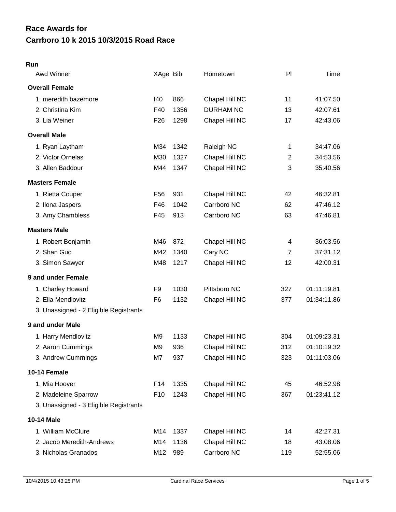# **Carrboro 10 k 2015 10/3/2015 Road Race Race Awards for**

#### **Run**

| Awd Winner                             | XAge Bib        |      | Hometown         | PI             | Time        |
|----------------------------------------|-----------------|------|------------------|----------------|-------------|
| <b>Overall Female</b>                  |                 |      |                  |                |             |
| 1. meredith bazemore                   | f40             | 866  | Chapel Hill NC   | 11             | 41:07.50    |
| 2. Christina Kim                       | F40             | 1356 | <b>DURHAM NC</b> | 13             | 42:07.61    |
| 3. Lia Weiner                          | F <sub>26</sub> | 1298 | Chapel Hill NC   | 17             | 42:43.06    |
| <b>Overall Male</b>                    |                 |      |                  |                |             |
| 1. Ryan Laytham                        | M34             | 1342 | Raleigh NC       | 1              | 34:47.06    |
| 2. Victor Ornelas                      | M30             | 1327 | Chapel Hill NC   | $\overline{c}$ | 34:53.56    |
| 3. Allen Baddour                       | M44             | 1347 | Chapel Hill NC   | 3              | 35:40.56    |
| <b>Masters Female</b>                  |                 |      |                  |                |             |
| 1. Rietta Couper                       | F <sub>56</sub> | 931  | Chapel Hill NC   | 42             | 46:32.81    |
| 2. Ilona Jaspers                       | F46             | 1042 | Carrboro NC      | 62             | 47:46.12    |
| 3. Amy Chambless                       | F45             | 913  | Carrboro NC      | 63             | 47:46.81    |
| <b>Masters Male</b>                    |                 |      |                  |                |             |
| 1. Robert Benjamin                     | M46             | 872  | Chapel Hill NC   | 4              | 36:03.56    |
| 2. Shan Guo                            | M42             | 1340 | Cary NC          | $\overline{7}$ | 37:31.12    |
| 3. Simon Sawyer                        | M48             | 1217 | Chapel Hill NC   | 12             | 42:00.31    |
| 9 and under Female                     |                 |      |                  |                |             |
| 1. Charley Howard                      | F <sub>9</sub>  | 1030 | Pittsboro NC     | 327            | 01:11:19.81 |
| 2. Ella Mendlovitz                     | F <sub>6</sub>  | 1132 | Chapel Hill NC   | 377            | 01:34:11.86 |
| 3. Unassigned - 2 Eligible Registrants |                 |      |                  |                |             |
| 9 and under Male                       |                 |      |                  |                |             |
| 1. Harry Mendlovitz                    | M <sub>9</sub>  | 1133 | Chapel Hill NC   | 304            | 01:09:23.31 |
| 2. Aaron Cummings                      | M <sub>9</sub>  | 936  | Chapel Hill NC   | 312            | 01:10:19.32 |
| 3. Andrew Cummings                     | M7              | 937  | Chapel Hill NC   | 323            | 01:11:03.06 |
| 10-14 Female                           |                 |      |                  |                |             |
| 1. Mia Hoover                          | F14             | 1335 | Chapel Hill NC   | 45             | 46:52.98    |
| 2. Madeleine Sparrow                   | F <sub>10</sub> | 1243 | Chapel Hill NC   | 367            | 01:23:41.12 |
| 3. Unassigned - 3 Eligible Registrants |                 |      |                  |                |             |
| 10-14 Male                             |                 |      |                  |                |             |
| 1. William McClure                     | M14             | 1337 | Chapel Hill NC   | 14             | 42:27.31    |
| 2. Jacob Meredith-Andrews              | M14             | 1136 | Chapel Hill NC   | 18             | 43:08.06    |
| 3. Nicholas Granados                   | M12             | 989  | Carrboro NC      | 119            | 52:55.06    |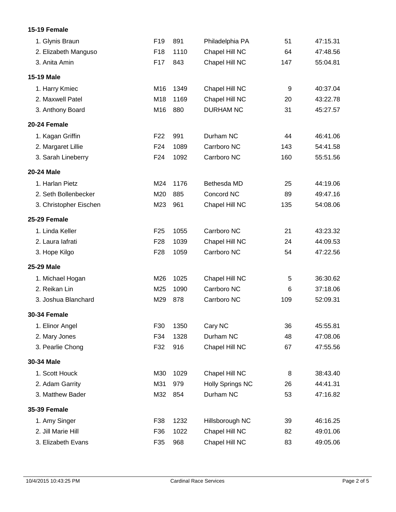#### **15-19 Female**

| 1. Glynis Braun        | F19             | 891  | Philadelphia PA         | 51  | 47:15.31 |
|------------------------|-----------------|------|-------------------------|-----|----------|
| 2. Elizabeth Manguso   | F <sub>18</sub> | 1110 | Chapel Hill NC          | 64  | 47:48.56 |
| 3. Anita Amin          | F <sub>17</sub> | 843  | Chapel Hill NC          | 147 | 55:04.81 |
| <b>15-19 Male</b>      |                 |      |                         |     |          |
| 1. Harry Kmiec         | M16             | 1349 | Chapel Hill NC          | 9   | 40:37.04 |
| 2. Maxwell Patel       | M18             | 1169 | Chapel Hill NC          | 20  | 43:22.78 |
| 3. Anthony Board       | M16             | 880  | <b>DURHAM NC</b>        | 31  | 45:27.57 |
| 20-24 Female           |                 |      |                         |     |          |
| 1. Kagan Griffin       | F <sub>22</sub> | 991  | Durham NC               | 44  | 46:41.06 |
| 2. Margaret Lillie     | F <sub>24</sub> | 1089 | Carrboro NC             | 143 | 54:41.58 |
| 3. Sarah Lineberry     | F24             | 1092 | Carrboro NC             | 160 | 55:51.56 |
| <b>20-24 Male</b>      |                 |      |                         |     |          |
| 1. Harlan Pietz        | M24             | 1176 | Bethesda MD             | 25  | 44:19.06 |
| 2. Seth Bollenbecker   | M20             | 885  | Concord NC              | 89  | 49:47.16 |
| 3. Christopher Eischen | M23             | 961  | Chapel Hill NC          | 135 | 54:08.06 |
| 25-29 Female           |                 |      |                         |     |          |
| 1. Linda Keller        | F <sub>25</sub> | 1055 | Carrboro NC             | 21  | 43:23.32 |
| 2. Laura lafrati       | F <sub>28</sub> | 1039 | Chapel Hill NC          | 24  | 44:09.53 |
| 3. Hope Kilgo          | F <sub>28</sub> | 1059 | Carrboro NC             | 54  | 47:22.56 |
| 25-29 Male             |                 |      |                         |     |          |
| 1. Michael Hogan       | M26             | 1025 | Chapel Hill NC          | 5   | 36:30.62 |
| 2. Reikan Lin          | M25             | 1090 | Carrboro NC             | 6   | 37:18.06 |
| 3. Joshua Blanchard    | M29             | 878  | Carrboro NC             | 109 | 52:09.31 |
| <b>30-34 Female</b>    |                 |      |                         |     |          |
| 1. Elinor Angel        | F30             | 1350 | Cary NC                 | 36  | 45:55.81 |
| 2. Mary Jones          | F34             | 1328 | Durham NC               | 48  | 47:08.06 |
| 3. Pearlie Chong       | F32             | 916  | Chapel Hill NC          | 67  | 47:55.56 |
| 30-34 Male             |                 |      |                         |     |          |
| 1. Scott Houck         | M30             | 1029 | Chapel Hill NC          | 8   | 38:43.40 |
| 2. Adam Garrity        | M31             | 979  | <b>Holly Springs NC</b> | 26  | 44:41.31 |
| 3. Matthew Bader       | M32             | 854  | Durham NC               | 53  | 47:16.82 |
| <b>35-39 Female</b>    |                 |      |                         |     |          |
| 1. Amy Singer          | F38             | 1232 | Hillsborough NC         | 39  | 46:16.25 |
| 2. Jill Marie Hill     | F36             | 1022 | Chapel Hill NC          | 82  | 49:01.06 |
| 3. Elizabeth Evans     | F35             | 968  | Chapel Hill NC          | 83  | 49:05.06 |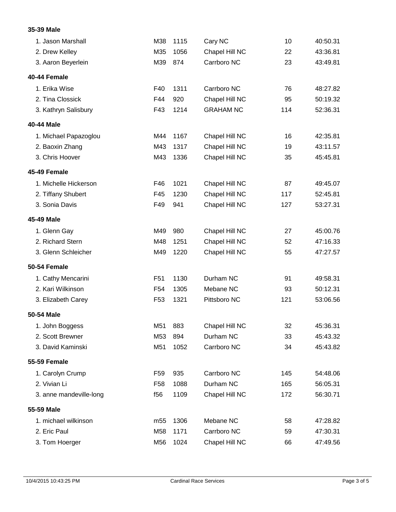### **35-39 Male**

| 1. Jason Marshall       | M38             | 1115 | Cary NC          | 10  | 40:50.31 |
|-------------------------|-----------------|------|------------------|-----|----------|
| 2. Drew Kelley          | M35             | 1056 | Chapel Hill NC   | 22  | 43:36.81 |
| 3. Aaron Beyerlein      | M39             | 874  | Carrboro NC      | 23  | 43:49.81 |
| 40-44 Female            |                 |      |                  |     |          |
| 1. Erika Wise           | F40             | 1311 | Carrboro NC      | 76  | 48:27.82 |
| 2. Tina Clossick        | F44             | 920  | Chapel Hill NC   | 95  | 50:19.32 |
| 3. Kathryn Salisbury    | F43             | 1214 | <b>GRAHAM NC</b> | 114 | 52:36.31 |
| 40-44 Male              |                 |      |                  |     |          |
| 1. Michael Papazoglou   | M44             | 1167 | Chapel Hill NC   | 16  | 42:35.81 |
| 2. Baoxin Zhang         | M43             | 1317 | Chapel Hill NC   | 19  | 43:11.57 |
| 3. Chris Hoover         | M43             | 1336 | Chapel Hill NC   | 35  | 45:45.81 |
| 45-49 Female            |                 |      |                  |     |          |
| 1. Michelle Hickerson   | F46             | 1021 | Chapel Hill NC   | 87  | 49:45.07 |
| 2. Tiffany Shubert      | F45             | 1230 | Chapel Hill NC   | 117 | 52:45.81 |
| 3. Sonia Davis          | F49             | 941  | Chapel Hill NC   | 127 | 53:27.31 |
| 45-49 Male              |                 |      |                  |     |          |
| 1. Glenn Gay            | M49             | 980  | Chapel Hill NC   | 27  | 45:00.76 |
| 2. Richard Stern        | M48             | 1251 | Chapel Hill NC   | 52  | 47:16.33 |
| 3. Glenn Schleicher     | M49             | 1220 | Chapel Hill NC   | 55  | 47:27.57 |
| 50-54 Female            |                 |      |                  |     |          |
| 1. Cathy Mencarini      | F <sub>51</sub> | 1130 | Durham NC        | 91  | 49:58.31 |
| 2. Kari Wilkinson       | F <sub>54</sub> | 1305 | Mebane NC        | 93  | 50:12.31 |
| 3. Elizabeth Carey      | F <sub>53</sub> | 1321 | Pittsboro NC     | 121 | 53:06.56 |
| 50-54 Male              |                 |      |                  |     |          |
| 1. John Boggess         | M51             | 883  | Chapel Hill NC   | 32  | 45:36.31 |
| 2. Scott Brewner        | M53             | 894  | Durham NC        | 33  | 45:43.32 |
| 3. David Kaminski       | M51             | 1052 | Carrboro NC      | 34  | 45:43.82 |
| <b>55-59 Female</b>     |                 |      |                  |     |          |
| 1. Carolyn Crump        | F <sub>59</sub> | 935  | Carrboro NC      | 145 | 54:48.06 |
| 2. Vivian Li            | F <sub>58</sub> | 1088 | Durham NC        | 165 | 56:05.31 |
| 3. anne mandeville-long | f56             | 1109 | Chapel Hill NC   | 172 | 56:30.71 |
| 55-59 Male              |                 |      |                  |     |          |
| 1. michael wilkinson    | m <sub>55</sub> | 1306 | Mebane NC        | 58  | 47:28.82 |
| 2. Eric Paul            | M58             | 1171 | Carrboro NC      | 59  | 47:30.31 |
| 3. Tom Hoerger          | M56             | 1024 | Chapel Hill NC   | 66  | 47:49.56 |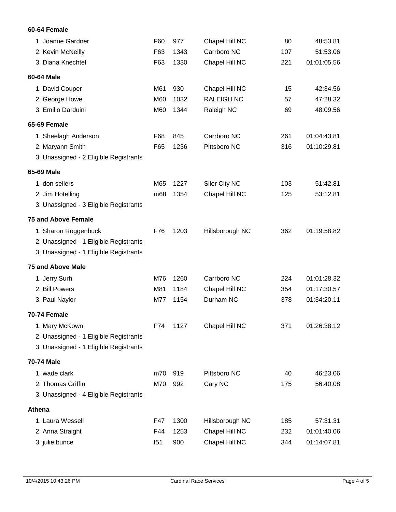### **60-64 Female**

| 1. Joanne Gardner                      | F60 | 977  | Chapel Hill NC    | 80  | 48:53.81    |
|----------------------------------------|-----|------|-------------------|-----|-------------|
| 2. Kevin McNeilly                      | F63 | 1343 | Carrboro NC       | 107 | 51:53.06    |
| 3. Diana Knechtel                      | F63 | 1330 | Chapel Hill NC    | 221 | 01:01:05.56 |
| 60-64 Male                             |     |      |                   |     |             |
| 1. David Couper                        | M61 | 930  | Chapel Hill NC    | 15  | 42:34.56    |
| 2. George Howe                         | M60 | 1032 | <b>RALEIGH NC</b> | 57  | 47:28.32    |
| 3. Emilio Darduini                     | M60 | 1344 | Raleigh NC        | 69  | 48:09.56    |
| 65-69 Female                           |     |      |                   |     |             |
| 1. Sheelagh Anderson                   | F68 | 845  | Carrboro NC       | 261 | 01:04:43.81 |
| 2. Maryann Smith                       | F65 | 1236 | Pittsboro NC      | 316 | 01:10:29.81 |
| 3. Unassigned - 2 Eligible Registrants |     |      |                   |     |             |
| 65-69 Male                             |     |      |                   |     |             |
| 1. don sellers                         | M65 | 1227 | Siler City NC     | 103 | 51:42.81    |
| 2. Jim Hotelling                       | m68 | 1354 | Chapel Hill NC    | 125 | 53:12.81    |
| 3. Unassigned - 3 Eligible Registrants |     |      |                   |     |             |
| <b>75 and Above Female</b>             |     |      |                   |     |             |
| 1. Sharon Roggenbuck                   | F76 | 1203 | Hillsborough NC   | 362 | 01:19:58.82 |
| 2. Unassigned - 1 Eligible Registrants |     |      |                   |     |             |
| 3. Unassigned - 1 Eligible Registrants |     |      |                   |     |             |
| <b>75 and Above Male</b>               |     |      |                   |     |             |
| 1. Jerry Surh                          | M76 | 1260 | Carrboro NC       | 224 | 01:01:28.32 |
| 2. Bill Powers                         | M81 | 1184 | Chapel Hill NC    | 354 | 01:17:30.57 |
| 3. Paul Naylor                         | M77 | 1154 | Durham NC         | 378 | 01:34:20.11 |
| <b>70-74 Female</b>                    |     |      |                   |     |             |
| 1. Mary McKown                         | F74 | 1127 | Chapel Hill NC    | 371 | 01:26:38.12 |
| 2. Unassigned - 1 Eligible Registrants |     |      |                   |     |             |
| 3. Unassigned - 1 Eligible Registrants |     |      |                   |     |             |
| <b>70-74 Male</b>                      |     |      |                   |     |             |
| 1. wade clark                          | m70 | 919  | Pittsboro NC      | 40  | 46:23.06    |
| 2. Thomas Griffin                      | M70 | 992  | Cary NC           | 175 | 56:40.08    |
| 3. Unassigned - 4 Eligible Registrants |     |      |                   |     |             |
| <b>Athena</b>                          |     |      |                   |     |             |
| 1. Laura Wessell                       | F47 | 1300 | Hillsborough NC   | 185 | 57:31.31    |
| 2. Anna Straight                       | F44 | 1253 | Chapel Hill NC    | 232 | 01:01:40.06 |
| 3. julie bunce                         | f51 | 900  | Chapel Hill NC    | 344 | 01:14:07.81 |